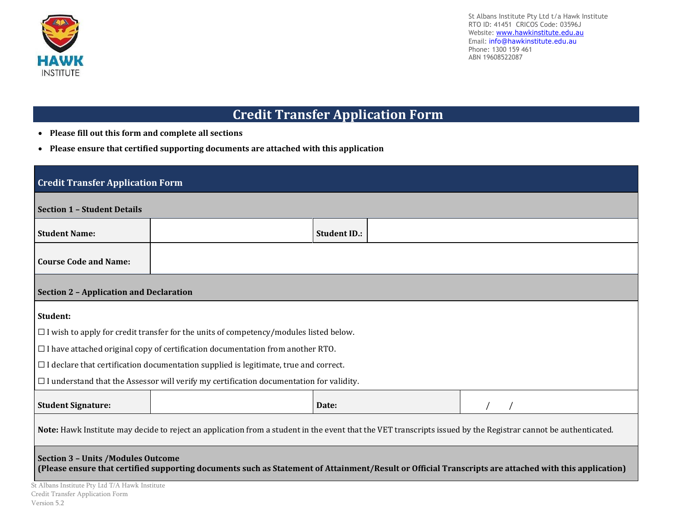

St Albans Institute Pty Ltd t/a Hawk Institute RTO ID: 41451 CRICOS Code: 03596J Website: [www.hawkinstitute.edu.au](http://www.hawkinstitute.edu.au/) Email: [info@hawkinstitute.edu.au](mailto:info@hawkinstitute.edu.au) Phone: 1300 159 461 ABN 19608522087

## **Credit Transfer Application Form**

- **Please fill out this form and complete all sections**
- **Please ensure that certified supporting documents are attached with this application**

| <b>Credit Transfer Application Form</b>                                                                                                                                                            |                                                                                              |                     |  |  |  |  |  |  |
|----------------------------------------------------------------------------------------------------------------------------------------------------------------------------------------------------|----------------------------------------------------------------------------------------------|---------------------|--|--|--|--|--|--|
| <b>Section 1 - Student Details</b>                                                                                                                                                                 |                                                                                              |                     |  |  |  |  |  |  |
| <b>Student Name:</b>                                                                                                                                                                               |                                                                                              | <b>Student ID.:</b> |  |  |  |  |  |  |
| <b>Course Code and Name:</b>                                                                                                                                                                       |                                                                                              |                     |  |  |  |  |  |  |
|                                                                                                                                                                                                    | <b>Section 2 - Application and Declaration</b>                                               |                     |  |  |  |  |  |  |
| Student:                                                                                                                                                                                           |                                                                                              |                     |  |  |  |  |  |  |
|                                                                                                                                                                                                    | $\Box$ I wish to apply for credit transfer for the units of competency/modules listed below. |                     |  |  |  |  |  |  |
| $\Box$ I have attached original copy of certification documentation from another RTO.                                                                                                              |                                                                                              |                     |  |  |  |  |  |  |
| $\Box$ I declare that certification documentation supplied is legitimate, true and correct.                                                                                                        |                                                                                              |                     |  |  |  |  |  |  |
| $\Box$ I understand that the Assessor will verify my certification documentation for validity.                                                                                                     |                                                                                              |                     |  |  |  |  |  |  |
| <b>Student Signature:</b>                                                                                                                                                                          |                                                                                              | Date:               |  |  |  |  |  |  |
| Note: Hawk Institute may decide to reject an application from a student in the event that the VET transcripts issued by the Registrar cannot be authenticated.                                     |                                                                                              |                     |  |  |  |  |  |  |
| <b>Section 3 - Units /Modules Outcome</b><br>(Please ensure that certified supporting documents such as Statement of Attainment/Result or Official Transcripts are attached with this application) |                                                                                              |                     |  |  |  |  |  |  |
| St Albans Institute Pty Ltd T/A Hawk Institute<br>Credit Transfer Application Form                                                                                                                 |                                                                                              |                     |  |  |  |  |  |  |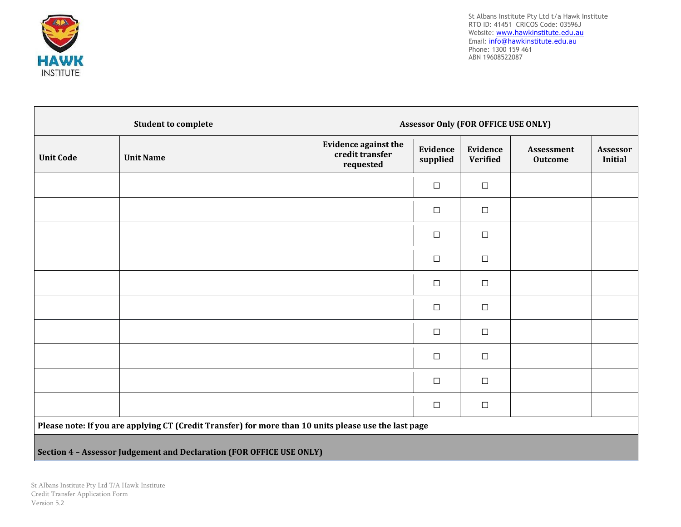

St Albans Institute Pty Ltd t/a Hawk Institute RTO ID: 41451 CRICOS Code: 03596J Website: <u>[www.hawkinstitute.edu.au](http://www.hawkinstitute.edu.au/)</u> Email: [info@hawkinstitute.edu.au](mailto:info@hawkinstitute.edu.au) Phone: 1300 159 461 ABN 19608522087

|                                                                                                       | <b>Student to complete</b>                                           | <b>Assessor Only (FOR OFFICE USE ONLY)</b>                  |                      |                             |                              |                                   |  |  |  |
|-------------------------------------------------------------------------------------------------------|----------------------------------------------------------------------|-------------------------------------------------------------|----------------------|-----------------------------|------------------------------|-----------------------------------|--|--|--|
| <b>Unit Code</b>                                                                                      | <b>Unit Name</b>                                                     | <b>Evidence against the</b><br>credit transfer<br>requested | Evidence<br>supplied | Evidence<br><b>Verified</b> | Assessment<br><b>Outcome</b> | <b>Assessor</b><br><b>Initial</b> |  |  |  |
|                                                                                                       |                                                                      |                                                             | $\Box$               | $\Box$                      |                              |                                   |  |  |  |
|                                                                                                       |                                                                      |                                                             | $\Box$               | $\Box$                      |                              |                                   |  |  |  |
|                                                                                                       |                                                                      |                                                             | □                    | $\Box$                      |                              |                                   |  |  |  |
|                                                                                                       |                                                                      |                                                             | $\Box$               | $\Box$                      |                              |                                   |  |  |  |
|                                                                                                       |                                                                      |                                                             | $\Box$               | $\Box$                      |                              |                                   |  |  |  |
|                                                                                                       |                                                                      |                                                             | $\Box$               | $\Box$                      |                              |                                   |  |  |  |
|                                                                                                       |                                                                      |                                                             | $\Box$               | $\Box$                      |                              |                                   |  |  |  |
|                                                                                                       |                                                                      |                                                             | $\Box$               | $\Box$                      |                              |                                   |  |  |  |
|                                                                                                       |                                                                      |                                                             | $\Box$               | $\Box$                      |                              |                                   |  |  |  |
|                                                                                                       |                                                                      |                                                             | $\Box$               | $\Box$                      |                              |                                   |  |  |  |
| Please note: If you are applying CT (Credit Transfer) for more than 10 units please use the last page |                                                                      |                                                             |                      |                             |                              |                                   |  |  |  |
|                                                                                                       | Section 4 - Assessor Judgement and Declaration (FOR OFFICE USE ONLY) |                                                             |                      |                             |                              |                                   |  |  |  |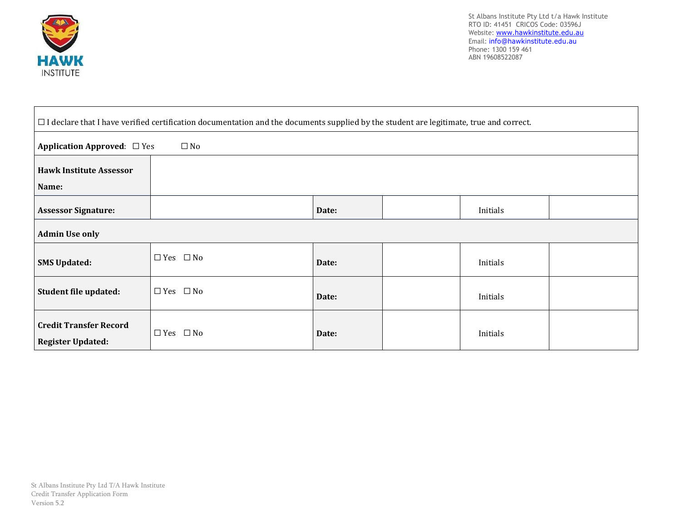

St Albans Institute Pty Ltd t/a Hawk Institute RTO ID: 41451 CRICOS Code: 03596J Website: <u>[www.hawkinstitute.edu.au](http://www.hawkinstitute.edu.au/)</u> Email: [info@hawkinstitute.edu.au](mailto:info@hawkinstitute.edu.au) Phone: 1300 159 461 ABN 19608522087

| $\Box$ I declare that I have verified certification documentation and the documents supplied by the student are legitimate, true and correct. |                            |       |  |          |  |  |  |
|-----------------------------------------------------------------------------------------------------------------------------------------------|----------------------------|-------|--|----------|--|--|--|
| <b>Application Approved:</b> $\Box$ Yes<br>$\square$ No                                                                                       |                            |       |  |          |  |  |  |
| <b>Hawk Institute Assessor</b>                                                                                                                |                            |       |  |          |  |  |  |
| Name:                                                                                                                                         |                            |       |  |          |  |  |  |
| <b>Assessor Signature:</b>                                                                                                                    |                            | Date: |  | Initials |  |  |  |
| <b>Admin Use only</b>                                                                                                                         |                            |       |  |          |  |  |  |
| <b>SMS Updated:</b>                                                                                                                           | $\Box$ Yes $\Box$ No       | Date: |  | Initials |  |  |  |
| Student file updated:                                                                                                                         | $\Box$ Yes $\Box$ No       | Date: |  | Initials |  |  |  |
| <b>Credit Transfer Record</b><br><b>Register Updated:</b>                                                                                     | $\square$ No<br>$\Box$ Yes | Date: |  | Initials |  |  |  |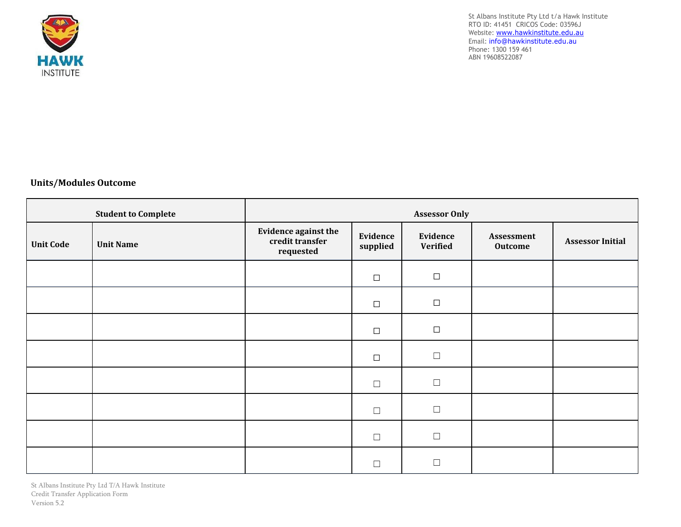

St Albans Institute Pty Ltd t/a Hawk Institute RTO ID: 41451 CRICOS Code: 03596J Website: [www.hawkinstitute.edu.au](http://www.hawkinstitute.edu.au/) Email: [info@hawkinstitute.edu.au](mailto:info@hawkinstitute.edu.au) Phone: 1300 159 461 ABN 19608522087

## **Units/Modules Outcome**

| <b>Student to Complete</b> |                  | <b>Assessor Only</b>                                 |                      |                      |                       |                         |  |  |
|----------------------------|------------------|------------------------------------------------------|----------------------|----------------------|-----------------------|-------------------------|--|--|
| <b>Unit Code</b>           | <b>Unit Name</b> | Evidence against the<br>credit transfer<br>requested | Evidence<br>supplied | Evidence<br>Verified | Assessment<br>Outcome | <b>Assessor Initial</b> |  |  |
|                            |                  |                                                      | $\Box$               | $\Box$               |                       |                         |  |  |
|                            |                  |                                                      | $\Box$               | $\Box$               |                       |                         |  |  |
|                            |                  |                                                      | $\Box$               | $\Box$               |                       |                         |  |  |
|                            |                  |                                                      | $\Box$               | $\Box$               |                       |                         |  |  |
|                            |                  |                                                      | $\Box$               | $\Box$               |                       |                         |  |  |
|                            |                  |                                                      | $\Box$               | $\Box$               |                       |                         |  |  |
|                            |                  |                                                      | $\Box$               | $\Box$               |                       |                         |  |  |
|                            |                  |                                                      |                      | П                    |                       |                         |  |  |

St Albans Institute Pty Ltd T/A Hawk Institute Credit Transfer Application Form Version 5.2